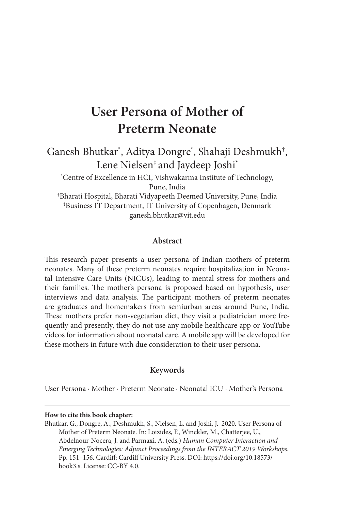# **User Persona of Mother of Preterm Neonate**

# Ganesh Bhutkar\* , Aditya Dongre\* , Shahaji Deshmukh† , Lene Nielsen<sup>#</sup> and Jaydeep Joshi<sup>\*</sup>

\* Centre of Excellence in HCI, Vishwakarma Institute of Technology, Pune, India † Bharati Hospital, Bharati Vidyapeeth Deemed University, Pune, India ‡ Business IT Department, IT University of Copenhagen, Denmark ganesh.bhutkar@vit.edu

#### **Abstract**

This research paper presents a user persona of Indian mothers of preterm neonates. Many of these preterm neonates require hospitalization in Neonatal Intensive Care Units (NICUs), leading to mental stress for mothers and their families. The mother's persona is proposed based on hypothesis, user interviews and data analysis. The participant mothers of preterm neonates are graduates and homemakers from semiurban areas around Pune, India. These mothers prefer non-vegetarian diet, they visit a pediatrician more frequently and presently, they do not use any mobile healthcare app or YouTube videos for information about neonatal care. A mobile app will be developed for these mothers in future with due consideration to their user persona.

# **Keywords**

User Persona *·* Mother *·* Preterm Neonate *·* Neonatal ICU *·* Mother's Persona

**How to cite this book chapter:** 

Bhutkar, G., Dongre, A., Deshmukh, S., Nielsen, L. and Joshi, J. 2020. User Persona of Mother of Preterm Neonate. In: Loizides, F., Winckler, M., Chatterjee, U., Abdelnour-Nocera, J. and Parmaxi, A. (eds.) *Human Computer Interaction and Emerging Technologies: Adjunct Proceedings from the INTERACT 2019 Workshops*. Pp. 151–156. Cardiff: Cardiff University Press. DOI: [https://doi.org/10.18573/](https://doi.org/10.18573/book3.s) [book3.s](https://doi.org/10.18573/book3.s). License: CC-BY 4.0.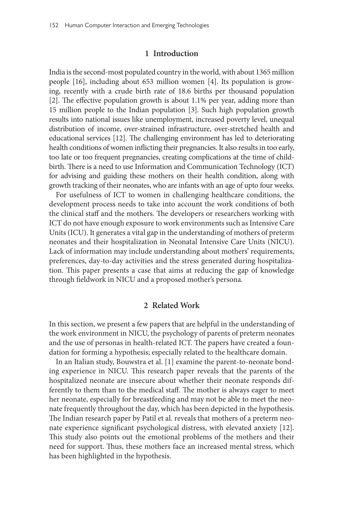# **1 Introduction**

India is the second-most populated country in the world, with about 1365 million people [16], including about 653 million women [4]. Its population is growing, recently with a crude birth rate of 18.6 births per thousand population [2]. The effective population growth is about 1.1% per year, adding more than 15 million people to the Indian population [3]. Such high population growth results into national issues like unemployment, increased poverty level, unequal distribution of income, over-strained infrastructure, over-stretched health and educational services [12]. The challenging environment has led to deteriorating health conditions of women inflicting their pregnancies. It also results in too early, too late or too frequent pregnancies, creating complications at the time of childbirth. There is a need to use Information and Communication Technology (ICT) for advising and guiding these mothers on their health condition, along with growth tracking of their neonates, who are infants with an age of upto four weeks.

For usefulness of ICT to women in challenging healthcare conditions, the development process needs to take into account the work conditions of both the clinical staff and the mothers. The developers or researchers working with ICT do not have enough exposure to work environments such as Intensive Care Units (ICU). It generates a vital gap in the understanding of mothers of preterm neonates and their hospitalization in Neonatal Intensive Care Units (NICU). Lack of information may include understanding about mothers' requirements, preferences, day-to-day activities and the stress generated during hospitalization. This paper presents a case that aims at reducing the gap of knowledge through fieldwork in NICU and a proposed mother's persona.

#### **2 Related Work**

In this section, we present a few papers that are helpful in the understanding of the work environment in NICU, the psychology of parents of preterm neonates and the use of personas in health-related ICT. The papers have created a foundation for forming a hypothesis; especially related to the healthcare domain.

In an Italian study, Bouwstra et al. [1] examine the parent-to-neonate bonding experience in NICU. This research paper reveals that the parents of the hospitalized neonate are insecure about whether their neonate responds differently to them than to the medical staff. The mother is always eager to meet her neonate, especially for breastfeeding and may not be able to meet the neonate frequently throughout the day, which has been depicted in the hypothesis. The Indian research paper by Patil et al. reveals that mothers of a preterm neonate experience significant psychological distress, with elevated anxiety [12]. This study also points out the emotional problems of the mothers and their need for support. Thus, these mothers face an increased mental stress, which has been highlighted in the hypothesis.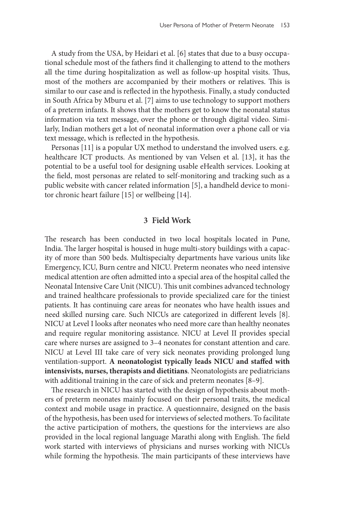A study from the USA, by Heidari et al. [6] states that due to a busy occupational schedule most of the fathers find it challenging to attend to the mothers all the time during hospitalization as well as follow-up hospital visits. Thus, most of the mothers are accompanied by their mothers or relatives. This is similar to our case and is reflected in the hypothesis. Finally, a study conducted in South Africa by Mburu et al. [7] aims to use technology to support mothers of a preterm infants. It shows that the mothers get to know the neonatal status information via text message, over the phone or through digital video. Similarly, Indian mothers get a lot of neonatal information over a phone call or via text message, which is reflected in the hypothesis.

Personas [11] is a popular UX method to understand the involved users. e.g. healthcare ICT products. As mentioned by van Velsen et al. [13], it has the potential to be a useful tool for designing usable eHealth services. Looking at the field, most personas are related to self-monitoring and tracking such as a public website with cancer related information [5], a handheld device to monitor chronic heart failure [15] or wellbeing [14].

#### **3 Field Work**

The research has been conducted in two local hospitals located in Pune, India. The larger hospital is housed in huge multi-story buildings with a capacity of more than 500 beds. Multispecialty departments have various units like Emergency, ICU, Burn centre and NICU. Preterm neonates who need intensive medical attention are often admitted into a special area of the hospital called the Neonatal Intensive Care Unit (NICU). This unit combines advanced technology and trained healthcare professionals to provide specialized care for the tiniest patients. It has continuing care areas for neonates who have health issues and need skilled nursing care. Such NICUs are categorized in different levels [8]. NICU at Level I looks after neonates who need more care than healthy neonates and require regular monitoring assistance. NICU at Level II provides special care where nurses are assigned to 3–4 neonates for constant attention and care. NICU at Level III take care of very sick neonates providing prolonged lung ventilation-support. **A neonatologist typically leads NICU and staffed with intensivists, nurses, therapists and dietitians**. Neonatologists are pediatricians with additional training in the care of sick and preterm neonates [8–9].

The research in NICU has started with the design of hypothesis about mothers of preterm neonates mainly focused on their personal traits, the medical context and mobile usage in practice. A questionnaire, designed on the basis of the hypothesis, has been used for interviews of selected mothers. To facilitate the active participation of mothers, the questions for the interviews are also provided in the local regional language Marathi along with English. The field work started with interviews of physicians and nurses working with NICUs while forming the hypothesis. The main participants of these interviews have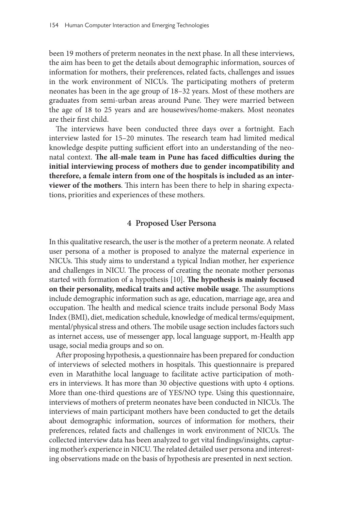been 19 mothers of preterm neonates in the next phase. In all these interviews, the aim has been to get the details about demographic information, sources of information for mothers, their preferences, related facts, challenges and issues in the work environment of NICUs. The participating mothers of preterm neonates has been in the age group of 18–32 years. Most of these mothers are graduates from semi-urban areas around Pune. They were married between the age of 18 to 25 years and are housewives/home-makers. Most neonates are their first child.

The interviews have been conducted three days over a fortnight. Each interview lasted for 15–20 minutes. The research team had limited medical knowledge despite putting sufficient effort into an understanding of the neonatal context. **The all-male team in Pune has faced difficulties during the initial interviewing process of mothers due to gender incompatibility and therefore, a female intern from one of the hospitals is included as an interviewer of the mothers**. This intern has been there to help in sharing expectations, priorities and experiences of these mothers.

#### **4 Proposed User Persona**

In this qualitative research, the user is the mother of a preterm neonate. A related user persona of a mother is proposed to analyze the maternal experience in NICUs. This study aims to understand a typical Indian mother, her experience and challenges in NICU. The process of creating the neonate mother personas started with formation of a hypothesis [10]. **The hypothesis is mainly focused on their personality, medical traits and active mobile usage**. The assumptions include demographic information such as age, education, marriage age, area and occupation. The health and medical science traits include personal Body Mass Index (BMI), diet, medication schedule, knowledge of medical terms/equipment, mental/physical stress and others. The mobile usage section includes factors such as internet access, use of messenger app, local language support, m-Health app usage, social media groups and so on.

After proposing hypothesis, a questionnaire has been prepared for conduction of interviews of selected mothers in hospitals. This questionnaire is prepared even in Marathithe local language to facilitate active participation of mothers in interviews. It has more than 30 objective questions with upto 4 options. More than one-third questions are of YES/NO type. Using this questionnaire, interviews of mothers of preterm neonates have been conducted in NICUs. The interviews of main participant mothers have been conducted to get the details about demographic information, sources of information for mothers, their preferences, related facts and challenges in work environment of NICUs. The collected interview data has been analyzed to get vital findings/insights, capturing mother's experience in NICU. The related detailed user persona and interesting observations made on the basis of hypothesis are presented in next section.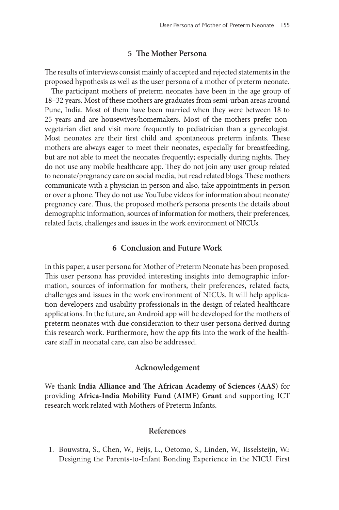## **5 The Mother Persona**

The results of interviews consist mainly of accepted and rejected statements in the proposed hypothesis as well as the user persona of a mother of preterm neonate.

The participant mothers of preterm neonates have been in the age group of 18–32 years. Most of these mothers are graduates from semi-urban areas around Pune, India. Most of them have been married when they were between 18 to 25 years and are housewives/homemakers. Most of the mothers prefer nonvegetarian diet and visit more frequently to pediatrician than a gynecologist. Most neonates are their first child and spontaneous preterm infants. These mothers are always eager to meet their neonates, especially for breastfeeding, but are not able to meet the neonates frequently; especially during nights. They do not use any mobile healthcare app. They do not join any user group related to neonate/pregnancy care on social media, but read related blogs. These mothers communicate with a physician in person and also, take appointments in person or over a phone. They do not use YouTube videos for information about neonate/ pregnancy care. Thus, the proposed mother's persona presents the details about demographic information, sources of information for mothers, their preferences, related facts, challenges and issues in the work environment of NICUs.

# **6 Conclusion and Future Work**

In this paper, a user persona for Mother of Preterm Neonate has been proposed. This user persona has provided interesting insights into demographic information, sources of information for mothers, their preferences, related facts, challenges and issues in the work environment of NICUs. It will help application developers and usability professionals in the design of related healthcare applications. In the future, an Android app will be developed for the mothers of preterm neonates with due consideration to their user persona derived during this research work. Furthermore, how the app fits into the work of the healthcare staff in neonatal care, can also be addressed.

#### **Acknowledgement**

We thank **India Alliance and The African Academy of Sciences (AAS)** for providing **Africa-India Mobility Fund (AIMF) Grant** and supporting ICT research work related with Mothers of Preterm Infants.

# **References**

1. Bouwstra, S., Chen, W., Feijs, L., Oetomo, S., Linden, W., Iisselsteijn, W.: Designing the Parents-to-Infant Bonding Experience in the NICU. First